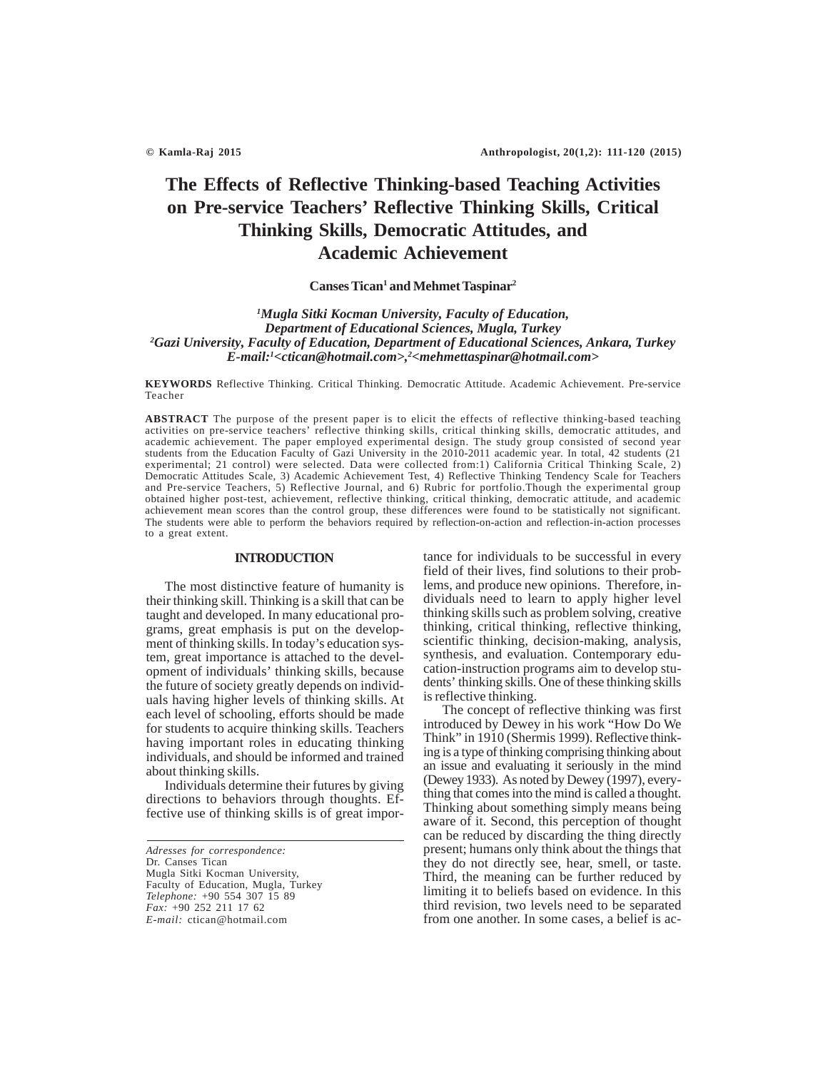# **The Effects of Reflective Thinking-based Teaching Activities on Pre-service Teachers' Reflective Thinking Skills, Critical Thinking Skills, Democratic Attitudes, and Academic Achievement**

# Canses Tican<sup>1</sup> and Mehmet Taspinar<sup>2</sup>

*1 Mugla Sitki Kocman University, Faculty of Education, Department of Educational Sciences, Mugla, Turkey 2 Gazi University, Faculty of Education, Department of Educational Sciences, Ankara, Turkey E-mail:1 <ctican@hotmail.com>,2 <mehmettaspinar@hotmail.com>*

**KEYWORDS** Reflective Thinking. Critical Thinking. Democratic Attitude. Academic Achievement. Pre-service Teacher

**ABSTRACT** The purpose of the present paper is to elicit the effects of reflective thinking-based teaching activities on pre-service teachers' reflective thinking skills, critical thinking skills, democratic attitudes, and academic achievement. The paper employed experimental design. The study group consisted of second year students from the Education Faculty of Gazi University in the 2010-2011 academic year. In total, 42 students (21 experimental; 21 control) were selected. Data were collected from:1) California Critical Thinking Scale, 2) Democratic Attitudes Scale, 3) Academic Achievement Test, 4) Reflective Thinking Tendency Scale for Teachers and Pre-service Teachers, 5) Reflective Journal, and 6) Rubric for portfolio.Though the experimental group obtained higher post-test, achievement, reflective thinking, critical thinking, democratic attitude, and academic achievement mean scores than the control group, these differences were found to be statistically not significant. The students were able to perform the behaviors required by reflection-on-action and reflection-in-action processes to a great extent.

# **INTRODUCTION**

The most distinctive feature of humanity is their thinking skill. Thinking is a skill that can be taught and developed. In many educational programs, great emphasis is put on the development of thinking skills. In today's education system, great importance is attached to the development of individuals' thinking skills, because the future of society greatly depends on individuals having higher levels of thinking skills. At each level of schooling, efforts should be made for students to acquire thinking skills. Teachers having important roles in educating thinking individuals, and should be informed and trained about thinking skills.

Individuals determine their futures by giving directions to behaviors through thoughts. Effective use of thinking skills is of great impor-

*Adresses for correspondence:* Dr. Canses Tican Mugla Sitki Kocman University, Faculty of Education, Mugla, Turkey *Telephone:* +90 554 307 15 89 *Fax:* +90 252 211 17 62 *E-mail:* ctican@hotmail.com

tance for individuals to be successful in every field of their lives, find solutions to their problems, and produce new opinions. Therefore, individuals need to learn to apply higher level thinking skills such as problem solving, creative thinking, critical thinking, reflective thinking, scientific thinking, decision-making, analysis, synthesis, and evaluation. Contemporary education-instruction programs aim to develop students' thinking skills. One of these thinking skills is reflective thinking.

The concept of reflective thinking was first introduced by Dewey in his work "How Do We Think" in 1910 (Shermis 1999). Reflective thinking is a type of thinking comprising thinking about an issue and evaluating it seriously in the mind (Dewey 1933). As noted by Dewey (1997), everything that comes into the mind is called a thought. Thinking about something simply means being aware of it. Second, this perception of thought can be reduced by discarding the thing directly present; humans only think about the things that they do not directly see, hear, smell, or taste. Third, the meaning can be further reduced by limiting it to beliefs based on evidence. In this third revision, two levels need to be separated from one another. In some cases, a belief is ac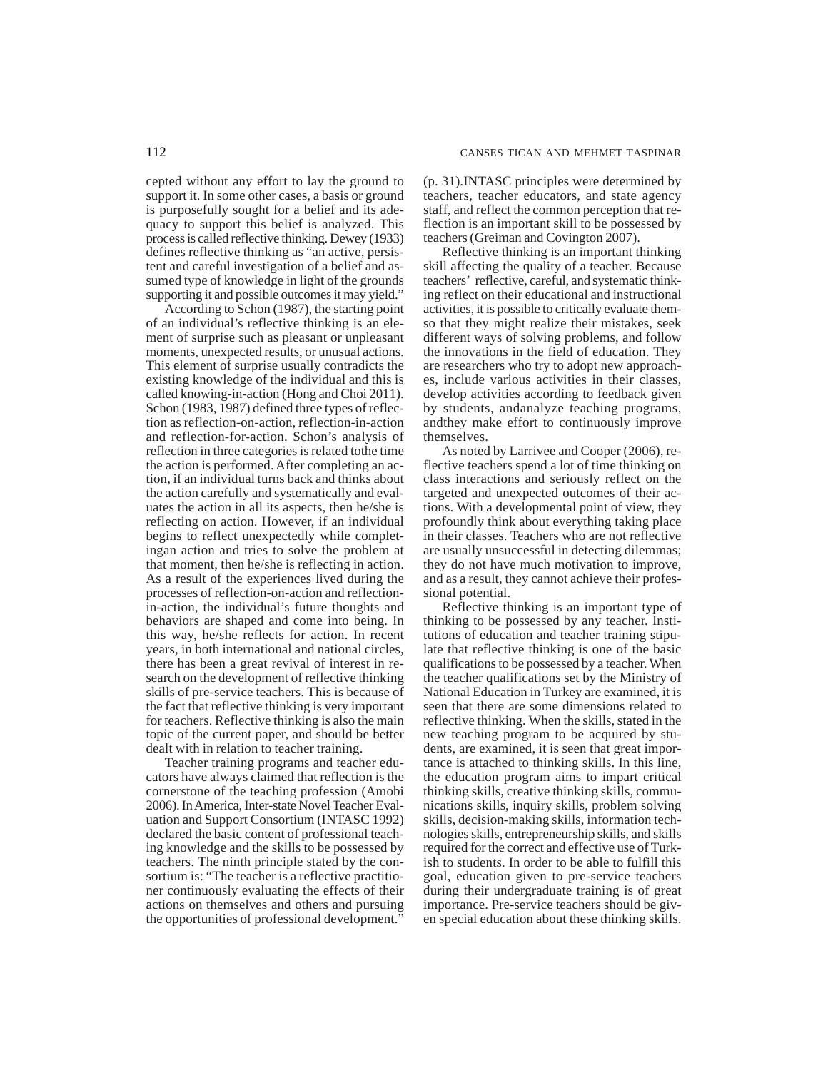cepted without any effort to lay the ground to support it. In some other cases, a basis or ground is purposefully sought for a belief and its adequacy to support this belief is analyzed. This process is called reflective thinking. Dewey (1933) defines reflective thinking as "an active, persistent and careful investigation of a belief and assumed type of knowledge in light of the grounds supporting it and possible outcomes it may yield."

According to Schon (1987), the starting point of an individual's reflective thinking is an element of surprise such as pleasant or unpleasant moments, unexpected results, or unusual actions. This element of surprise usually contradicts the existing knowledge of the individual and this is called knowing-in-action (Hong and Choi 2011). Schon (1983, 1987) defined three types of reflection as reflection-on-action, reflection-in-action and reflection-for-action. Schon's analysis of reflection in three categories is related tothe time the action is performed. After completing an action, if an individual turns back and thinks about the action carefully and systematically and evaluates the action in all its aspects, then he/she is reflecting on action. However, if an individual begins to reflect unexpectedly while completingan action and tries to solve the problem at that moment, then he/she is reflecting in action. As a result of the experiences lived during the processes of reflection-on-action and reflectionin-action, the individual's future thoughts and behaviors are shaped and come into being. In this way, he/she reflects for action. In recent years, in both international and national circles, there has been a great revival of interest in research on the development of reflective thinking skills of pre-service teachers. This is because of the fact that reflective thinking is very important for teachers. Reflective thinking is also the main topic of the current paper, and should be better dealt with in relation to teacher training.

Teacher training programs and teacher educators have always claimed that reflection is the cornerstone of the teaching profession (Amobi 2006). In America, Inter-state Novel Teacher Evaluation and Support Consortium (INTASC 1992) declared the basic content of professional teaching knowledge and the skills to be possessed by teachers. The ninth principle stated by the consortium is: "The teacher is a reflective practitioner continuously evaluating the effects of their actions on themselves and others and pursuing the opportunities of professional development."

(p. 31).INTASC principles were determined by teachers, teacher educators, and state agency staff, and reflect the common perception that reflection is an important skill to be possessed by teachers (Greiman and Covington 2007).

Reflective thinking is an important thinking skill affecting the quality of a teacher. Because teachers' reflective, careful, and systematic thinking reflect on their educational and instructional activities, it is possible to critically evaluate themso that they might realize their mistakes, seek different ways of solving problems, and follow the innovations in the field of education. They are researchers who try to adopt new approaches, include various activities in their classes, develop activities according to feedback given by students, andanalyze teaching programs, andthey make effort to continuously improve themselves.

As noted by Larrivee and Cooper (2006), reflective teachers spend a lot of time thinking on class interactions and seriously reflect on the targeted and unexpected outcomes of their actions. With a developmental point of view, they profoundly think about everything taking place in their classes. Teachers who are not reflective are usually unsuccessful in detecting dilemmas; they do not have much motivation to improve, and as a result, they cannot achieve their professional potential.

Reflective thinking is an important type of thinking to be possessed by any teacher. Institutions of education and teacher training stipulate that reflective thinking is one of the basic qualifications to be possessed by a teacher. When the teacher qualifications set by the Ministry of National Education in Turkey are examined, it is seen that there are some dimensions related to reflective thinking. When the skills, stated in the new teaching program to be acquired by students, are examined, it is seen that great importance is attached to thinking skills. In this line, the education program aims to impart critical thinking skills, creative thinking skills, communications skills, inquiry skills, problem solving skills, decision-making skills, information technologies skills, entrepreneurship skills, and skills required for the correct and effective use of Turkish to students. In order to be able to fulfill this goal, education given to pre-service teachers during their undergraduate training is of great importance. Pre-service teachers should be given special education about these thinking skills.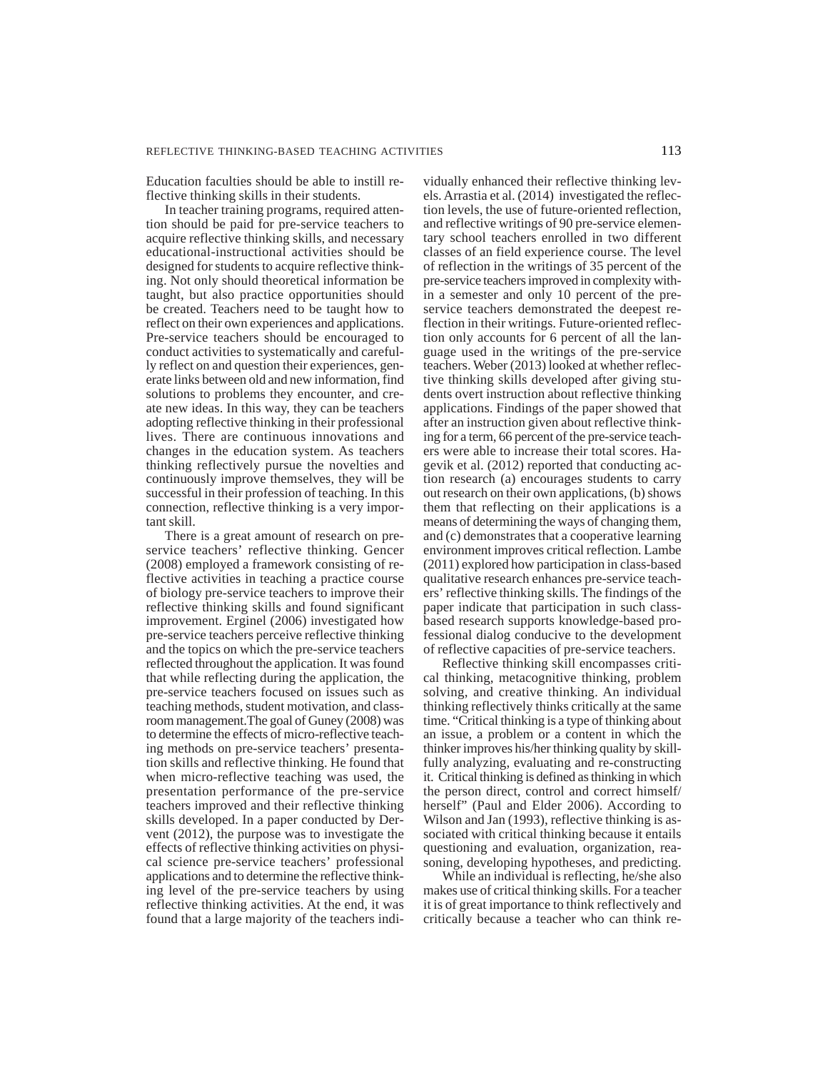Education faculties should be able to instill reflective thinking skills in their students.

In teacher training programs, required attention should be paid for pre-service teachers to acquire reflective thinking skills, and necessary educational-instructional activities should be designed for students to acquire reflective thinking. Not only should theoretical information be taught, but also practice opportunities should be created. Teachers need to be taught how to reflect on their own experiences and applications. Pre-service teachers should be encouraged to conduct activities to systematically and carefully reflect on and question their experiences, generate links between old and new information, find solutions to problems they encounter, and create new ideas. In this way, they can be teachers adopting reflective thinking in their professional lives. There are continuous innovations and changes in the education system. As teachers thinking reflectively pursue the novelties and continuously improve themselves, they will be successful in their profession of teaching. In this connection, reflective thinking is a very important skill.

There is a great amount of research on preservice teachers' reflective thinking. Gencer (2008) employed a framework consisting of reflective activities in teaching a practice course of biology pre-service teachers to improve their reflective thinking skills and found significant improvement. Erginel (2006) investigated how pre-service teachers perceive reflective thinking and the topics on which the pre-service teachers reflected throughout the application. It was found that while reflecting during the application, the pre-service teachers focused on issues such as teaching methods, student motivation, and classroom management.The goal of Guney (2008) was to determine the effects of micro-reflective teaching methods on pre-service teachers' presentation skills and reflective thinking. He found that when micro-reflective teaching was used, the presentation performance of the pre-service teachers improved and their reflective thinking skills developed. In a paper conducted by Dervent (2012), the purpose was to investigate the effects of reflective thinking activities on physical science pre-service teachers' professional applications and to determine the reflective thinking level of the pre-service teachers by using reflective thinking activities. At the end, it was found that a large majority of the teachers individually enhanced their reflective thinking levels. Arrastia et al. (2014) investigated the reflection levels, the use of future-oriented reflection, and reflective writings of 90 pre-service elementary school teachers enrolled in two different classes of an field experience course. The level of reflection in the writings of 35 percent of the pre-service teachers improved in complexity within a semester and only 10 percent of the preservice teachers demonstrated the deepest reflection in their writings. Future-oriented reflection only accounts for 6 percent of all the language used in the writings of the pre-service teachers. Weber (2013) looked at whether reflective thinking skills developed after giving students overt instruction about reflective thinking applications. Findings of the paper showed that after an instruction given about reflective thinking for a term, 66 percent of the pre-service teachers were able to increase their total scores. Hagevik et al. (2012) reported that conducting action research (a) encourages students to carry out research on their own applications, (b) shows them that reflecting on their applications is a means of determining the ways of changing them, and (c) demonstrates that a cooperative learning environment improves critical reflection. Lambe (2011) explored how participation in class-based qualitative research enhances pre-service teachers' reflective thinking skills. The findings of the paper indicate that participation in such classbased research supports knowledge-based professional dialog conducive to the development of reflective capacities of pre-service teachers.

Reflective thinking skill encompasses critical thinking, metacognitive thinking, problem solving, and creative thinking. An individual thinking reflectively thinks critically at the same time. "Critical thinking is a type of thinking about an issue, a problem or a content in which the thinker improves his/her thinking quality by skillfully analyzing, evaluating and re-constructing it. Critical thinking is defined as thinking in which the person direct, control and correct himself/ herself" (Paul and Elder 2006). According to Wilson and Jan (1993), reflective thinking is associated with critical thinking because it entails questioning and evaluation, organization, reasoning, developing hypotheses, and predicting.

While an individual is reflecting, he/she also makes use of critical thinking skills. For a teacher it is of great importance to think reflectively and critically because a teacher who can think re-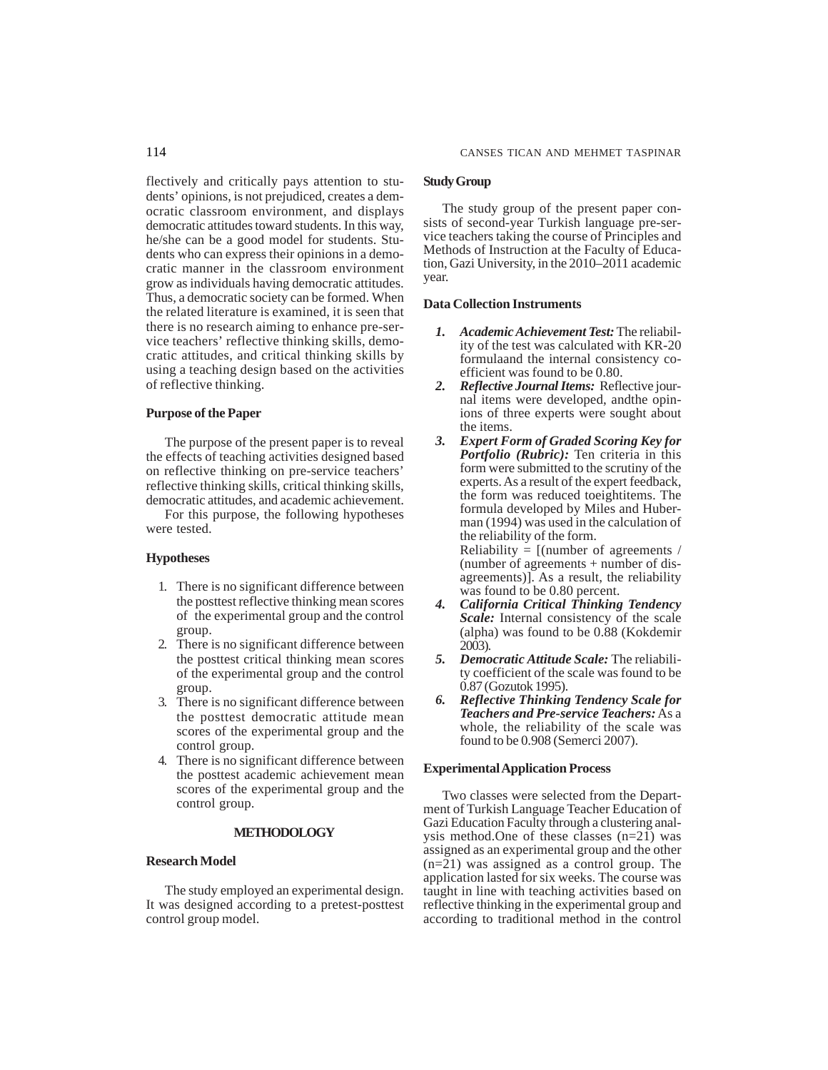flectively and critically pays attention to students' opinions, is not prejudiced, creates a democratic classroom environment, and displays democratic attitudes toward students. In this way, he/she can be a good model for students. Students who can express their opinions in a democratic manner in the classroom environment grow as individuals having democratic attitudes. Thus, a democratic society can be formed. When the related literature is examined, it is seen that there is no research aiming to enhance pre-service teachers' reflective thinking skills, democratic attitudes, and critical thinking skills by using a teaching design based on the activities of reflective thinking.

# **Purpose of the Paper**

The purpose of the present paper is to reveal the effects of teaching activities designed based on reflective thinking on pre-service teachers' reflective thinking skills, critical thinking skills, democratic attitudes, and academic achievement.

For this purpose, the following hypotheses were tested.

# **Hypotheses**

- 1. There is no significant difference between the posttest reflective thinking mean scores of the experimental group and the control group.
- 2. There is no significant difference between the posttest critical thinking mean scores of the experimental group and the control group.
- 3. There is no significant difference between the posttest democratic attitude mean scores of the experimental group and the control group.
- 4. There is no significant difference between the posttest academic achievement mean scores of the experimental group and the control group.

# **METHODOLOGY**

# **Research Model**

The study employed an experimental design. It was designed according to a pretest-posttest control group model.

# **Study Group**

The study group of the present paper consists of second-year Turkish language pre-service teachers taking the course of Principles and Methods of Instruction at the Faculty of Education, Gazi University, in the 2010–2011 academic year.

# **Data Collection Instruments**

- *1. Academic Achievement Test:* The reliability of the test was calculated with KR-20 formulaand the internal consistency coefficient was found to be 0.80.
- *2. Reflective Journal Items:* Reflective journal items were developed, andthe opinions of three experts were sought about the items.
- *3. Expert Form of Graded Scoring Key for Portfolio (Rubric):* Ten criteria in this form were submitted to the scrutiny of the experts. As a result of the expert feedback, the form was reduced toeightitems. The formula developed by Miles and Huberman (1994) was used in the calculation of the reliability of the form. Reliability  $=$  [(number of agreements /

(number of agreements + number of disagreements)]. As a result, the reliability was found to be 0.80 percent.

- *4. California Critical Thinking Tendency Scale:* Internal consistency of the scale (alpha) was found to be 0.88 (Kokdemir 2003).
- *5. Democratic Attitude Scale:* The reliability coefficient of the scale was found to be 0.87 (Gozutok 1995).
- *6. Reflective Thinking Tendency Scale for Teachers and Pre-service Teachers:* As a whole, the reliability of the scale was found to be 0.908 (Semerci 2007).

#### **Experimental Application Process**

Two classes were selected from the Department of Turkish Language Teacher Education of Gazi Education Faculty through a clustering analysis method. One of these classes  $(n=21)$  was assigned as an experimental group and the other  $(n=21)$  was assigned as a control group. The application lasted for six weeks. The course was taught in line with teaching activities based on reflective thinking in the experimental group and according to traditional method in the control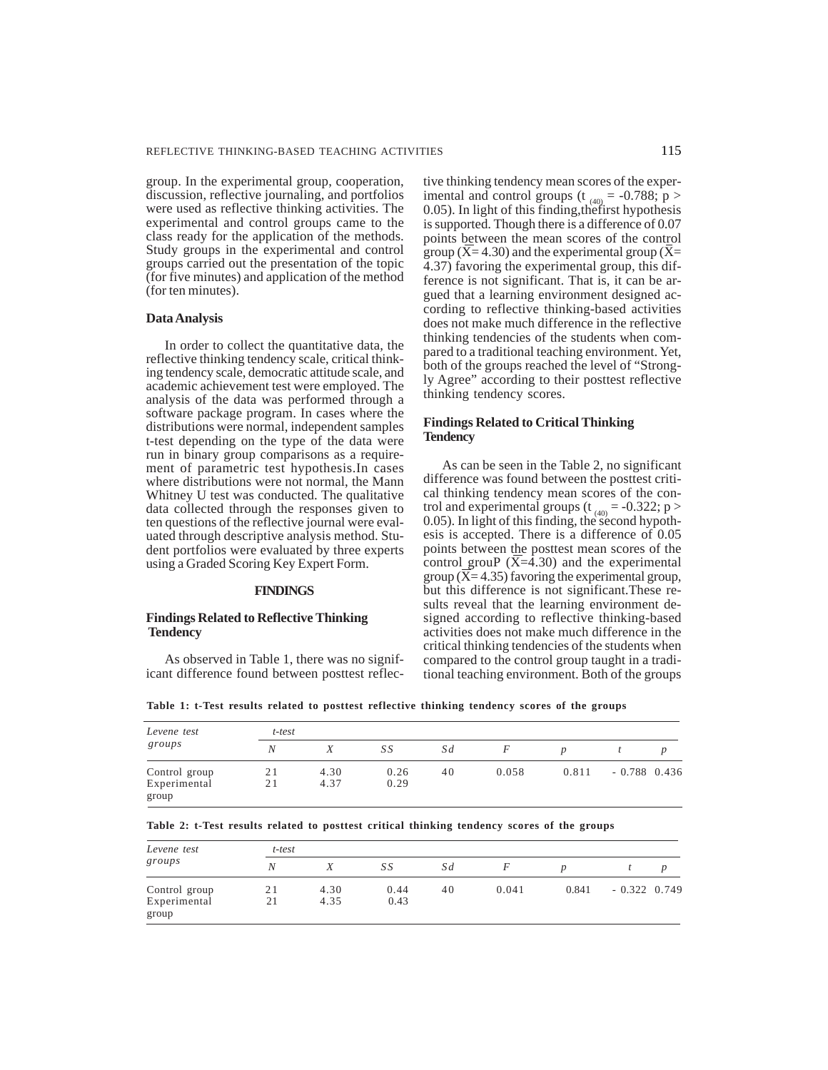group. In the experimental group, cooperation, discussion, reflective journaling, and portfolios were used as reflective thinking activities. The experimental and control groups came to the class ready for the application of the methods. Study groups in the experimental and control groups carried out the presentation of the topic (for five minutes) and application of the method (for ten minutes).

# **Data Analysis**

In order to collect the quantitative data, the reflective thinking tendency scale, critical thinking tendency scale, democratic attitude scale, and academic achievement test were employed. The analysis of the data was performed through a software package program. In cases where the distributions were normal, independent samples t-test depending on the type of the data were run in binary group comparisons as a requirement of parametric test hypothesis.In cases where distributions were not normal, the Mann Whitney U test was conducted. The qualitative data collected through the responses given to ten questions of the reflective journal were evaluated through descriptive analysis method. Student portfolios were evaluated by three experts using a Graded Scoring Key Expert Form.

#### **FINDINGS**

# **Findings Related to Reflective Thinking Tendency**

As observed in Table 1, there was no significant difference found between posttest reflective thinking tendency mean scores of the experimental and control groups (t<sub>(40)</sub> = -0.788; p > 0.05). In light of this finding,thefirst hypothesis is supported. Though there is a difference of 0.07 points between the mean scores of the control group  $(X=4.30)$  and the experimental group  $(X=$ 4.37) favoring the experimental group, this difference is not significant. That is, it can be argued that a learning environment designed according to reflective thinking-based activities does not make much difference in the reflective thinking tendencies of the students when compared to a traditional teaching environment. Yet, both of the groups reached the level of "Strongly Agree" according to their posttest reflective thinking tendency scores.

# **Findings Related to Critical Thinking Tendency**

As can be seen in the Table 2, no significant difference was found between the posttest critical thinking tendency mean scores of the control and experimental groups (t<sub>(40)</sub> = -0.322; p > 0.05). In light of this finding, the second hypothesis is accepted. There is a difference of 0.05 points between the posttest mean scores of the control grouP  $(X=4.30)$  and the experimental group  $(X=4.35)$  favoring the experimental group, but this difference is not significant.These results reveal that the learning environment designed according to reflective thinking-based activities does not make much difference in the critical thinking tendencies of the students when compared to the control group taught in a traditional teaching environment. Both of the groups

**Table 1: t-Test results related to posttest reflective thinking tendency scores of the groups**

| Levene test                                                                                                | $t$ -test |              |              |    |       |                  |                |                  |  |
|------------------------------------------------------------------------------------------------------------|-----------|--------------|--------------|----|-------|------------------|----------------|------------------|--|
| groups                                                                                                     | N         | X            | SS           | Sd | F     | $\boldsymbol{p}$ | $\mathfrak{t}$ | $\boldsymbol{p}$ |  |
| Control group<br>Experimental<br>group                                                                     | 21<br>21  | 4.30<br>4.37 | 0.26<br>0.29 | 40 | 0.058 | 0.811            | $-0.788$ 0.436 |                  |  |
|                                                                                                            |           |              |              |    |       |                  |                |                  |  |
| Table 2: t-Test results related to posttest critical thinking tendency scores of the groups<br>Levene test | t-test    |              |              |    |       |                  |                |                  |  |
| groups                                                                                                     | N         | X            | SS           | Sd | F     | $\boldsymbol{p}$ | t              | $\boldsymbol{p}$ |  |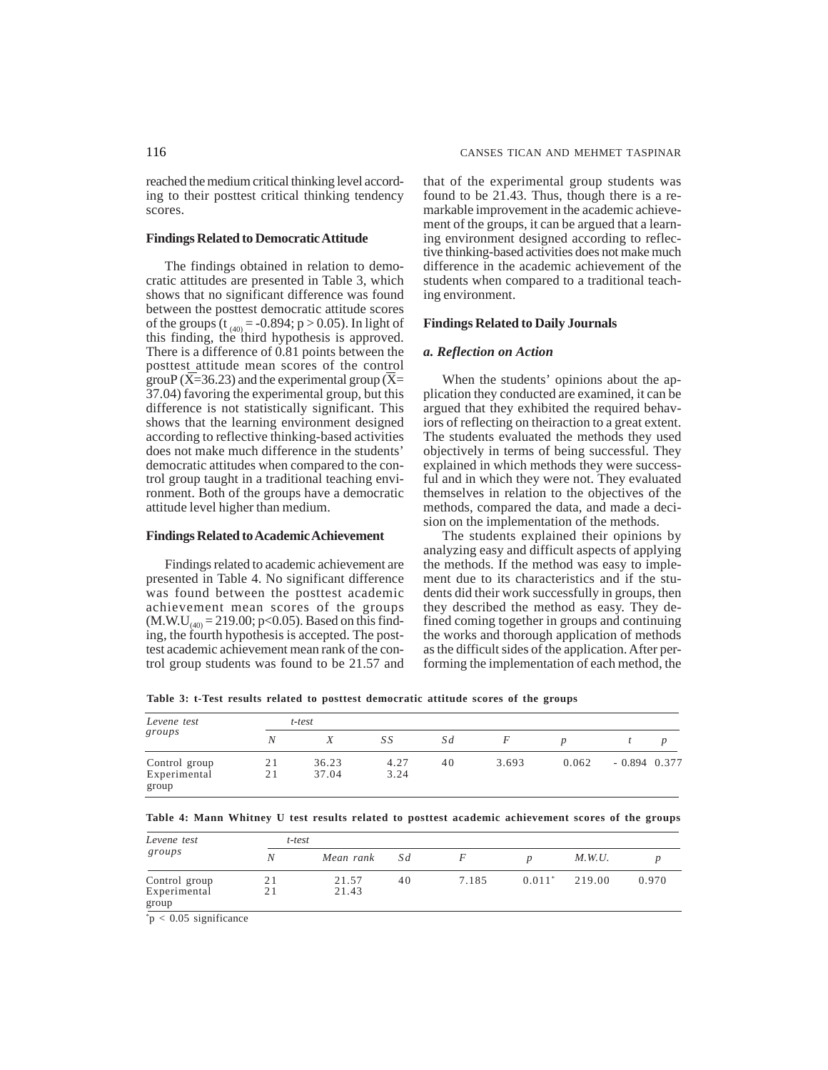reached the medium critical thinking level according to their posttest critical thinking tendency scores.

#### **Findings Related to Democratic Attitude**

The findings obtained in relation to democratic attitudes are presented in Table 3, which shows that no significant difference was found between the posttest democratic attitude scores of the groups  $(t_{(40)} = -0.894; p > 0.05)$ . In light of this finding, the third hypothesis is approved. There is a difference of 0.81 points between the posttest attitude mean scores of the control grouP ( $X=36.23$ ) and the experimental group ( $X=$ 37.04) favoring the experimental group, but this difference is not statistically significant. This shows that the learning environment designed according to reflective thinking-based activities does not make much difference in the students' democratic attitudes when compared to the control group taught in a traditional teaching environment. Both of the groups have a democratic attitude level higher than medium.

# **Findings Related to Academic Achievement**

Findings related to academic achievement are presented in Table 4. No significant difference was found between the posttest academic achievement mean scores of the groups  $(M.W.U<sub>(40)</sub> = 219.00; p<0.05)$ . Based on this finding, the fourth hypothesis is accepted. The posttest academic achievement mean rank of the control group students was found to be 21.57 and that of the experimental group students was found to be 21.43. Thus, though there is a remarkable improvement in the academic achievement of the groups, it can be argued that a learning environment designed according to reflective thinking-based activities does not make much difference in the academic achievement of the students when compared to a traditional teaching environment.

#### **Findings Related to Daily Journals**

#### *a. Reflection on Action*

When the students' opinions about the application they conducted are examined, it can be argued that they exhibited the required behaviors of reflecting on theiraction to a great extent. The students evaluated the methods they used objectively in terms of being successful. They explained in which methods they were successful and in which they were not. They evaluated themselves in relation to the objectives of the methods, compared the data, and made a decision on the implementation of the methods.

The students explained their opinions by analyzing easy and difficult aspects of applying the methods. If the method was easy to implement due to its characteristics and if the students did their work successfully in groups, then they described the method as easy. They defined coming together in groups and continuing the works and thorough application of methods as the difficult sides of the application. After performing the implementation of each method, the

**Table 3: t-Test results related to posttest democratic attitude scores of the groups**

| Levene test                            | t-test   |                |              |    |       |       |                |  |
|----------------------------------------|----------|----------------|--------------|----|-------|-------|----------------|--|
| groups                                 | N        |                | SS           | Sd |       |       |                |  |
| Control group<br>Experimental<br>group | 21<br>21 | 36.23<br>37.04 | 4.27<br>3.24 | 40 | 3.693 | 0.062 | $-0.894$ 0.377 |  |

**Table 4: Mann Whitney U test results related to posttest academic achievement scores of the groups**

|                | t-test |       |          |        |       |  |  |  |
|----------------|--------|-------|----------|--------|-------|--|--|--|
| Mean rank      | Sd     |       |          | M.W.U. |       |  |  |  |
| 21.57<br>21.43 | 40     | 7.185 | $0.011*$ | 219.00 | 0.970 |  |  |  |
|                |        |       |          |        |       |  |  |  |

 $p < 0.05$  significance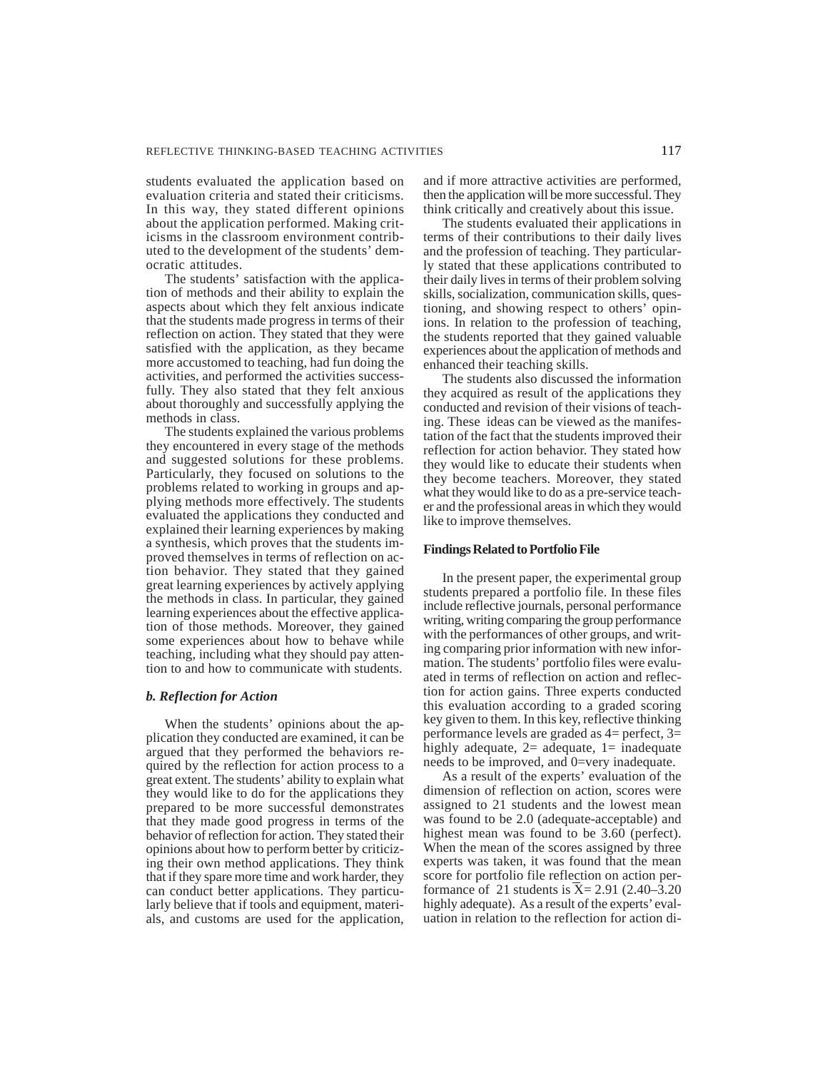students evaluated the application based on evaluation criteria and stated their criticisms. In this way, they stated different opinions about the application performed. Making criticisms in the classroom environment contributed to the development of the students' democratic attitudes.

The students' satisfaction with the application of methods and their ability to explain the aspects about which they felt anxious indicate that the students made progress in terms of their reflection on action. They stated that they were satisfied with the application, as they became more accustomed to teaching, had fun doing the activities, and performed the activities successfully. They also stated that they felt anxious about thoroughly and successfully applying the methods in class.

The students explained the various problems they encountered in every stage of the methods and suggested solutions for these problems. Particularly, they focused on solutions to the problems related to working in groups and applying methods more effectively. The students evaluated the applications they conducted and explained their learning experiences by making a synthesis, which proves that the students improved themselves in terms of reflection on action behavior. They stated that they gained great learning experiences by actively applying the methods in class. In particular, they gained learning experiences about the effective application of those methods. Moreover, they gained some experiences about how to behave while teaching, including what they should pay attention to and how to communicate with students.

# *b. Reflection for Action*

When the students' opinions about the application they conducted are examined, it can be argued that they performed the behaviors required by the reflection for action process to a great extent. The students' ability to explain what they would like to do for the applications they prepared to be more successful demonstrates that they made good progress in terms of the behavior of reflection for action. They stated their opinions about how to perform better by criticizing their own method applications. They think that if they spare more time and work harder, they can conduct better applications. They particularly believe that if tools and equipment, materials, and customs are used for the application,

and if more attractive activities are performed, then the application will be more successful. They think critically and creatively about this issue.

The students evaluated their applications in terms of their contributions to their daily lives and the profession of teaching. They particularly stated that these applications contributed to their daily lives in terms of their problem solving skills, socialization, communication skills, questioning, and showing respect to others' opinions. In relation to the profession of teaching, the students reported that they gained valuable experiences about the application of methods and enhanced their teaching skills.

The students also discussed the information they acquired as result of the applications they conducted and revision of their visions of teaching. These ideas can be viewed as the manifestation of the fact that the students improved their reflection for action behavior. They stated how they would like to educate their students when they become teachers. Moreover, they stated what they would like to do as a pre-service teacher and the professional areas in which they would like to improve themselves.

#### **Findings Related to Portfolio File**

In the present paper, the experimental group students prepared a portfolio file. In these files include reflective journals, personal performance writing, writing comparing the group performance with the performances of other groups, and writing comparing prior information with new information. The students' portfolio files were evaluated in terms of reflection on action and reflection for action gains. Three experts conducted this evaluation according to a graded scoring key given to them. In this key, reflective thinking performance levels are graded as 4= perfect, 3= highly adequate,  $2=$  adequate,  $1=$  inadequate needs to be improved, and 0=very inadequate.

As a result of the experts' evaluation of the dimension of reflection on action, scores were assigned to 21 students and the lowest mean was found to be 2.0 (adequate-acceptable) and highest mean was found to be 3.60 (perfect). When the mean of the scores assigned by three experts was taken, it was found that the mean score for portfolio file reflection on action performance of 21 students is  $X = 2.91$  (2.40–3.20) highly adequate). As a result of the experts' evaluation in relation to the reflection for action di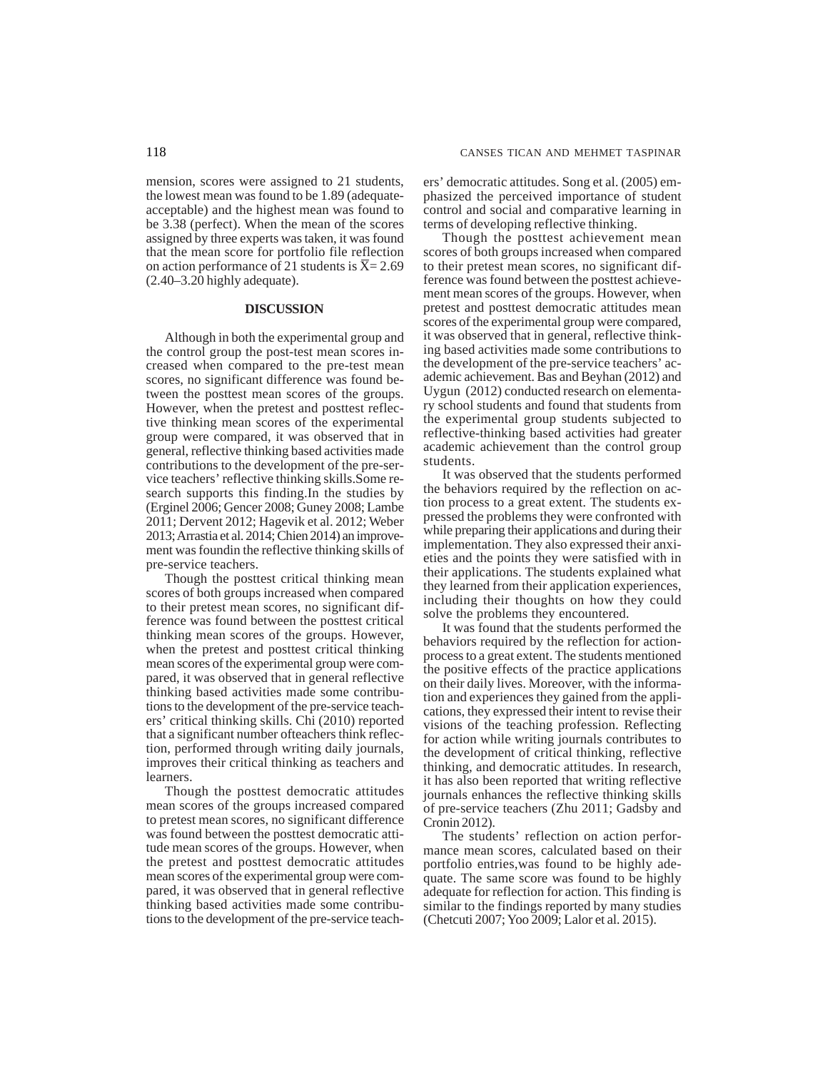mension, scores were assigned to 21 students, the lowest mean was found to be 1.89 (adequateacceptable) and the highest mean was found to be 3.38 (perfect). When the mean of the scores assigned by three experts was taken, it was found that the mean score for portfolio file reflection on action performance of 21 students is  $\overline{X}$  = 2.69  $(2.40-3.20$  highly adequate).

#### **DISCUSSION**

Although in both the experimental group and the control group the post-test mean scores increased when compared to the pre-test mean scores, no significant difference was found between the posttest mean scores of the groups. However, when the pretest and posttest reflective thinking mean scores of the experimental group were compared, it was observed that in general, reflective thinking based activities made contributions to the development of the pre-service teachers' reflective thinking skills.Some research supports this finding.In the studies by (Erginel 2006; Gencer 2008; Guney 2008; Lambe 2011; Dervent 2012; Hagevik et al. 2012; Weber 2013; Arrastia et al. 2014; Chien 2014) an improvement was foundin the reflective thinking skills of pre-service teachers.

Though the posttest critical thinking mean scores of both groups increased when compared to their pretest mean scores, no significant difference was found between the posttest critical thinking mean scores of the groups. However, when the pretest and posttest critical thinking mean scores of the experimental group were compared, it was observed that in general reflective thinking based activities made some contributions to the development of the pre-service teachers' critical thinking skills. Chi (2010) reported that a significant number ofteachers think reflection, performed through writing daily journals, improves their critical thinking as teachers and learners.

Though the posttest democratic attitudes mean scores of the groups increased compared to pretest mean scores, no significant difference was found between the posttest democratic attitude mean scores of the groups. However, when the pretest and posttest democratic attitudes mean scores of the experimental group were compared, it was observed that in general reflective thinking based activities made some contributions to the development of the pre-service teachers' democratic attitudes. Song et al. (2005) emphasized the perceived importance of student control and social and comparative learning in terms of developing reflective thinking.

Though the posttest achievement mean scores of both groups increased when compared to their pretest mean scores, no significant difference was found between the posttest achievement mean scores of the groups. However, when pretest and posttest democratic attitudes mean scores of the experimental group were compared, it was observed that in general, reflective thinking based activities made some contributions to the development of the pre-service teachers' academic achievement. Bas and Beyhan (2012) and Uygun (2012) conducted research on elementary school students and found that students from the experimental group students subjected to reflective-thinking based activities had greater academic achievement than the control group students.

It was observed that the students performed the behaviors required by the reflection on action process to a great extent. The students expressed the problems they were confronted with while preparing their applications and during their implementation. They also expressed their anxieties and the points they were satisfied with in their applications. The students explained what they learned from their application experiences, including their thoughts on how they could solve the problems they encountered.

It was found that the students performed the behaviors required by the reflection for actionprocess to a great extent. The students mentioned the positive effects of the practice applications on their daily lives. Moreover, with the information and experiences they gained from the applications, they expressed their intent to revise their visions of the teaching profession. Reflecting for action while writing journals contributes to the development of critical thinking, reflective thinking, and democratic attitudes. In research, it has also been reported that writing reflective journals enhances the reflective thinking skills of pre-service teachers (Zhu 2011; Gadsby and Cronin 2012).

The students' reflection on action performance mean scores, calculated based on their portfolio entries,was found to be highly adequate. The same score was found to be highly adequate for reflection for action. This finding is similar to the findings reported by many studies (Chetcuti 2007; Yoo 2009; Lalor et al. 2015).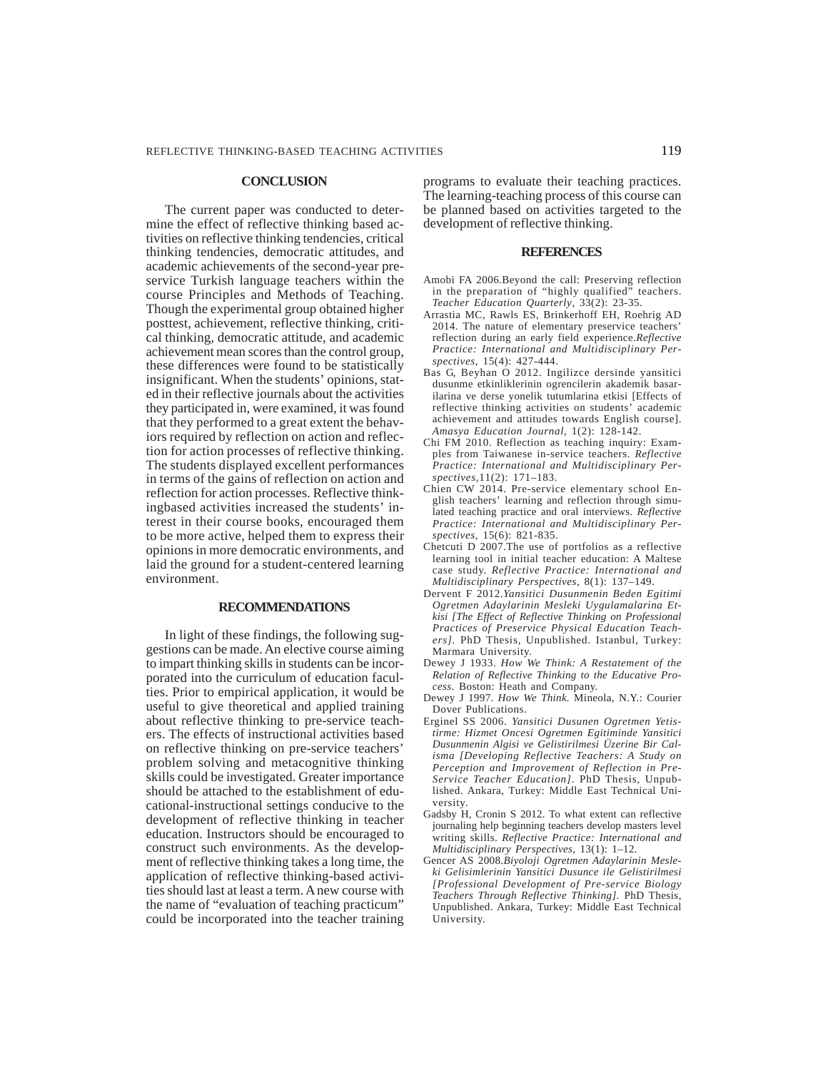#### **CONCLUSION**

The current paper was conducted to determine the effect of reflective thinking based activities on reflective thinking tendencies, critical thinking tendencies, democratic attitudes, and academic achievements of the second-year preservice Turkish language teachers within the course Principles and Methods of Teaching. Though the experimental group obtained higher posttest, achievement, reflective thinking, critical thinking, democratic attitude, and academic achievement mean scores than the control group, these differences were found to be statistically insignificant. When the students' opinions, stated in their reflective journals about the activities they participated in, were examined, it was found that they performed to a great extent the behaviors required by reflection on action and reflection for action processes of reflective thinking. The students displayed excellent performances in terms of the gains of reflection on action and reflection for action processes. Reflective thinkingbased activities increased the students' interest in their course books, encouraged them to be more active, helped them to express their opinions in more democratic environments, and laid the ground for a student-centered learning environment.

## **RECOMMENDATIONS**

In light of these findings, the following suggestions can be made. An elective course aiming to impart thinking skills in students can be incorporated into the curriculum of education faculties. Prior to empirical application, it would be useful to give theoretical and applied training about reflective thinking to pre-service teachers. The effects of instructional activities based on reflective thinking on pre-service teachers' problem solving and metacognitive thinking skills could be investigated. Greater importance should be attached to the establishment of educational-instructional settings conducive to the development of reflective thinking in teacher education. Instructors should be encouraged to construct such environments. As the development of reflective thinking takes a long time, the application of reflective thinking-based activities should last at least a term. A new course with the name of "evaluation of teaching practicum" could be incorporated into the teacher training programs to evaluate their teaching practices. The learning-teaching process of this course can be planned based on activities targeted to the development of reflective thinking.

#### **REFERENCES**

- Amobi FA 2006.Beyond the call: Preserving reflection in the preparation of "highly qualified" teachers. *Teacher Education Quarterly*, 33(2): 23-35.
- Arrastia MC, Rawls ES, Brinkerhoff EH, Roehrig AD 2014. The nature of elementary preservice teachers' reflection during an early field experience.*Reflective Practice: International and Multidisciplinary Perspectives*, 15(4): 427-444.
- Bas G, Beyhan O 2012. Ingilizce dersinde yansitici dusunme etkinliklerinin ogrencilerin akademik basarilarina ve derse yonelik tutumlarina etkisi [Effects of reflective thinking activities on students' academic achievement and attitudes towards English course]. *Amasya Education Journal,* 1(2): 128-142.
- Chi FM 2010. Reflection as teaching inquiry: Examples from Taiwanese in-service teachers. *Reflective Practice: International and Multidisciplinary Perspectives,*11(2): 171–183.
- Chien CW 2014. Pre-service elementary school English teachers' learning and reflection through simulated teaching practice and oral interviews. *Reflective Practice: International and Multidisciplinary Perspectives*, 15(6): 821-835.
- Chetcuti D 2007.The use of portfolios as a reflective learning tool in initial teacher education: A Maltese case study. *Reflective Practice: International and Multidisciplinary Perspectives,* 8(1): 137–149.
- Dervent F 2012.*Yansitici Dusunmenin Beden Egitimi Ogretmen Adaylarinin Mesleki Uygulamalarina Etkisi [The Effect of Reflective Thinking on Professional Practices of Preservice Physical Education Teachers].* PhD Thesis, Unpublished. Istanbul, Turkey: Marmara University.
- Dewey J 1933. *How We Think: A Restatement of the Relation of Reflective Thinking to the Educative Process*. Boston: Heath and Company.
- Dewey J 1997. *How We Think.* Mineola, N.Y.: Courier Dover Publications.
- Erginel SS 2006. *Yansitici Dusunen Ogretmen Yetistirme: Hizmet Oncesi Ogretmen Egitiminde Yansitici Dusunmenin Algisi ve Gelistirilmesi Üzerine Bir Calisma [Developing Reflective Teachers: A Study on Perception and Improvement of Reflection in Pre-Service Teacher Education]*. PhD Thesis, Unpublished. Ankara, Turkey: Middle East Technical University.
- Gadsby H, Cronin S 2012. To what extent can reflective journaling help beginning teachers develop masters level writing skills. *Reflective Practice: International and Multidisciplinary Perspectives,* 13(1): 1–12.
- Gencer AS 2008.*Biyoloji Ogretmen Adaylarinin Mesleki Gelisimlerinin Yansitici Dusunce ile Gelistirilmesi [Professional Development of Pre-service Biology Teachers Through Reflective Thinking].* PhD Thesis, Unpublished. Ankara, Turkey: Middle East Technical University.